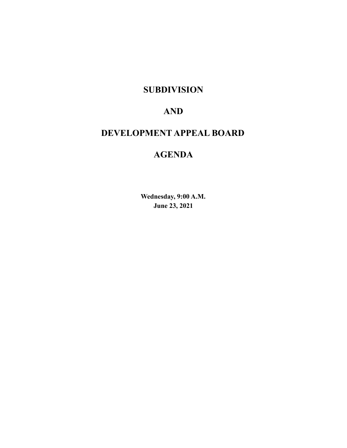# **SUBDIVISION**

# **AND**

# **DEVELOPMENT APPEAL BOARD**

# **AGENDA**

**Wednesday, 9:00 A.M. June 23, 2021**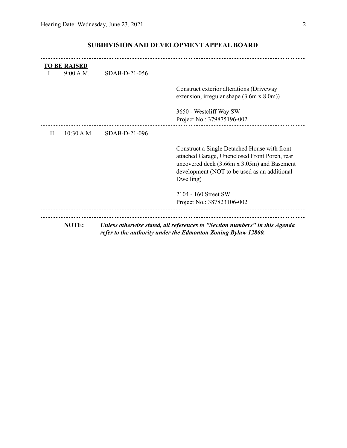|          | <b>TO BE RAISED</b><br>9:00 A.M. | SDAB-D-21-056 |                                                                                                                                                                                                           |
|----------|----------------------------------|---------------|-----------------------------------------------------------------------------------------------------------------------------------------------------------------------------------------------------------|
|          |                                  |               | Construct exterior alterations (Driveway<br>extension, irregular shape $(3.6m \times 8.0m)$                                                                                                               |
|          |                                  |               | 3650 - Westcliff Way SW<br>Project No.: 379875196-002                                                                                                                                                     |
| $\rm II$ | 10:30 A.M.                       | SDAB-D-21-096 |                                                                                                                                                                                                           |
|          |                                  |               | Construct a Single Detached House with front<br>attached Garage, Unenclosed Front Porch, rear<br>uncovered deck (3.66m x 3.05m) and Basement<br>development (NOT to be used as an additional<br>Dwelling) |
|          |                                  |               | 2104 - 160 Street SW<br>Project No.: 387823106-002                                                                                                                                                        |
|          | <b>NOTE:</b>                     |               | Unless otherwise stated, all references to "Section numbers" in this Agenda<br>refer to the authority under the Edmonton Zoning Bylaw 12800.                                                              |

## **SUBDIVISION AND DEVELOPMENT APPEAL BOARD**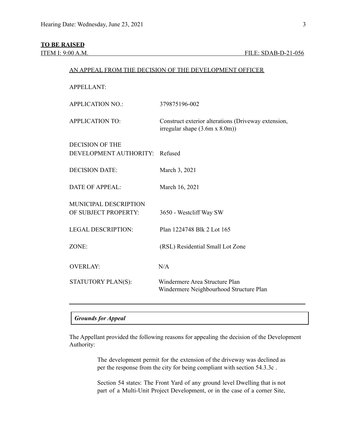## **TO BE RAISED**

| <b>APPELLANT:</b>                                    |                                                                                             |
|------------------------------------------------------|---------------------------------------------------------------------------------------------|
| <b>APPLICATION NO.:</b>                              | 379875196-002                                                                               |
| <b>APPLICATION TO:</b>                               | Construct exterior alterations (Driveway extension,<br>irregular shape $(3.6m \times 8.0m)$ |
| DECISION OF THE<br>DEVELOPMENT AUTHORITY:            | Refused                                                                                     |
| <b>DECISION DATE:</b>                                | March 3, 2021                                                                               |
| <b>DATE OF APPEAL:</b>                               | March 16, 2021                                                                              |
| <b>MUNICIPAL DESCRIPTION</b><br>OF SUBJECT PROPERTY: | 3650 - Westcliff Way SW                                                                     |
| <b>LEGAL DESCRIPTION:</b>                            | Plan 1224748 Blk 2 Lot 165                                                                  |
| ZONE:                                                | (RSL) Residential Small Lot Zone                                                            |
| <b>OVERLAY:</b>                                      | N/A                                                                                         |
| STATUTORY PLAN(S):                                   | Windermere Area Structure Plan<br>Windermere Neighbourhood Structure Plan                   |
|                                                      |                                                                                             |

AN APPEAL FROM THE DECISION OF THE DEVELOPMENT OFFICER

## *Grounds for Appeal*

The Appellant provided the following reasons for appealing the decision of the Development Authority:

> The development permit for the extension of the driveway was declined as per the response from the city for being compliant with section 54.3.3c .

> Section 54 states: The Front Yard of any ground level Dwelling that is not part of a Multi-Unit Project Development, or in the case of a corner Site,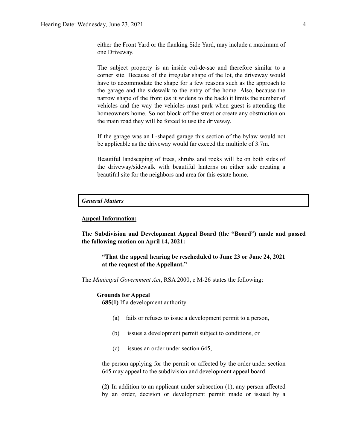either the Front Yard or the flanking Side Yard, may include a maximum of one Driveway.

The subject property is an inside cul-de-sac and therefore similar to a corner site. Because of the irregular shape of the lot, the driveway would have to accommodate the shape for a few reasons such as the approach to the garage and the sidewalk to the entry of the home. Also, because the narrow shape of the front (as it widens to the back) it limits the number of vehicles and the way the vehicles must park when guest is attending the homeowners home. So not block off the street or create any obstruction on the main road they will be forced to use the driveway.

If the garage was an L-shaped garage this section of the bylaw would not be applicable as the driveway would far exceed the multiple of 3.7m.

Beautiful landscaping of trees, shrubs and rocks will be on both sides of the driveway/sidewalk with beautiful lanterns on either side creating a beautiful site for the neighbors and area for this estate home.

## *General Matters*

## **Appeal Information:**

**The Subdivision and Development Appeal Board (the "Board") made and passed the following motion on April 14, 2021:**

**"That the appeal hearing be rescheduled to June 23 or June 24, 2021 at the request of the Appellant."**

The *Municipal Government Act*, RSA 2000, c M-26 states the following:

#### **Grounds for Appeal**

**685(1)** If a development authority

- (a) fails or refuses to issue a development permit to a person,
- (b) issues a development permit subject to conditions, or
- (c) issues an order under section 645,

the person applying for the permit or affected by the order under section 645 may appeal to the subdivision and development appeal board.

**(2)** In addition to an applicant under subsection (1), any person affected by an order, decision or development permit made or issued by a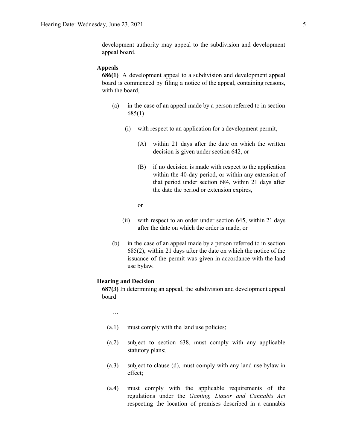### **Appeals**

**686(1)** A development appeal to a subdivision and development appeal board is commenced by filing a notice of the appeal, containing reasons, with the board,

- (a) in the case of an appeal made by a person referred to in section 685(1)
	- (i) with respect to an application for a development permit,
		- (A) within 21 days after the date on which the written decision is given under section 642, or
		- (B) if no decision is made with respect to the application within the 40-day period, or within any extension of that period under section 684, within 21 days after the date the period or extension expires,

or

- (ii) with respect to an order under section 645, within 21 days after the date on which the order is made, or
- (b) in the case of an appeal made by a person referred to in section 685(2), within 21 days after the date on which the notice of the issuance of the permit was given in accordance with the land use bylaw.

### **Hearing and Decision**

**687(3)** In determining an appeal, the subdivision and development appeal board

…

- (a.1) must comply with the land use policies;
- (a.2) subject to section 638, must comply with any applicable statutory plans;
- (a.3) subject to clause (d), must comply with any land use bylaw in effect;
- (a.4) must comply with the applicable requirements of the regulations under the *Gaming, Liquor and Cannabis Act* respecting the location of premises described in a cannabis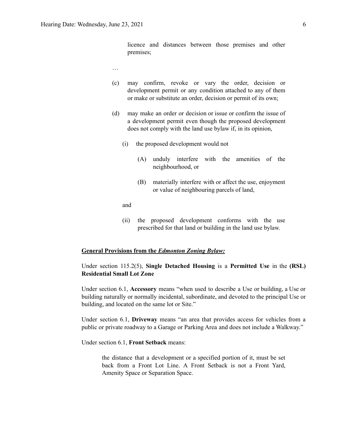licence and distances between those premises and other premises;

- …
- (c) may confirm, revoke or vary the order, decision or development permit or any condition attached to any of them or make or substitute an order, decision or permit of its own;
- (d) may make an order or decision or issue or confirm the issue of a development permit even though the proposed development does not comply with the land use bylaw if, in its opinion,
	- (i) the proposed development would not
		- (A) unduly interfere with the amenities of the neighbourhood, or
		- (B) materially interfere with or affect the use, enjoyment or value of neighbouring parcels of land,

and

(ii) the proposed development conforms with the use prescribed for that land or building in the land use bylaw.

## **General Provisions from the** *Edmonton Zoning Bylaw:*

Under section 115.2(5), **Single Detached Housing** is a **Permitted Use** in the **(RSL) Residential Small Lot Zone**

Under section 6.1, **Accessory** means "when used to describe a Use or building, a Use or building naturally or normally incidental, subordinate, and devoted to the principal Use or building, and located on the same lot or Site."

Under section 6.1, **Driveway** means "an area that provides access for vehicles from a public or private roadway to a Garage or Parking Area and does not include a Walkway."

Under section 6.1, **Front Setback** means:

the distance that a development or a specified portion of it, must be set back from a Front Lot Line. A Front Setback is not a Front Yard, Amenity Space or Separation Space.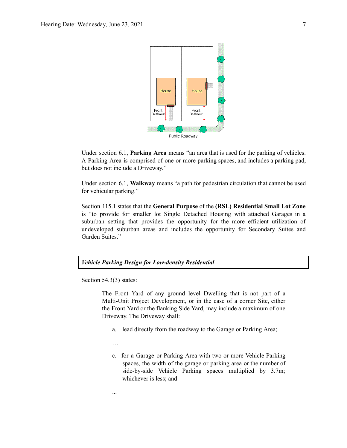

Under section 6.1, **Parking Area** means "an area that is used for the parking of vehicles. A Parking Area is comprised of one or more parking spaces, and includes a parking pad, but does not include a Driveway."

Under section 6.1, **Walkway** means "a path for pedestrian circulation that cannot be used for vehicular parking."

Section 115.1 states that the **General Purpose** of the **(RSL) Residential Small Lot Zone** is "to provide for smaller lot Single Detached Housing with attached Garages in a suburban setting that provides the opportunity for the more efficient utilization of undeveloped suburban areas and includes the opportunity for Secondary Suites and Garden Suites."



Section 54.3(3) states:

The Front Yard of any ground level Dwelling that is not part of a Multi-Unit Project Development, or in the case of a corner Site, either the Front Yard or the flanking Side Yard, may include a maximum of one Driveway. The Driveway shall:

a. lead directly from the roadway to the Garage or Parking Area;

…

...

c. for a Garage or Parking Area with two or more Vehicle Parking spaces, the width of the garage or parking area or the number of side-by-side Vehicle Parking spaces multiplied by 3.7m; whichever is less; and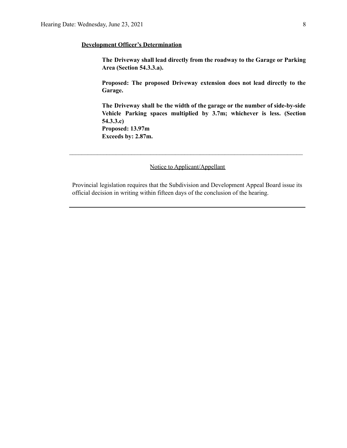## **Development Officer's Determination**

**The Driveway shall lead directly from the roadway to the Garage or Parking Area (Section 54.3.3.a).**

**Proposed: The proposed Driveway extension does not lead directly to the Garage.**

**The Driveway shall be the width of the garage or the number of side-by-side Vehicle Parking spaces multiplied by 3.7m; whichever is less. (Section 54.3.3.c) Proposed: 13.97m**

**Exceeds by: 2.87m.**

Notice to Applicant/Appellant

 $\mathcal{L}_\text{max} = \frac{1}{2} \sum_{i=1}^n \mathcal{L}_\text{max} = \frac{1}{2} \sum_{i=1}^n \mathcal{L}_\text{max} = \frac{1}{2} \sum_{i=1}^n \mathcal{L}_\text{max} = \frac{1}{2} \sum_{i=1}^n \mathcal{L}_\text{max} = \frac{1}{2} \sum_{i=1}^n \mathcal{L}_\text{max} = \frac{1}{2} \sum_{i=1}^n \mathcal{L}_\text{max} = \frac{1}{2} \sum_{i=1}^n \mathcal{L}_\text{max} = \frac{1}{2} \sum_{i=$ 

Provincial legislation requires that the Subdivision and Development Appeal Board issue its official decision in writing within fifteen days of the conclusion of the hearing.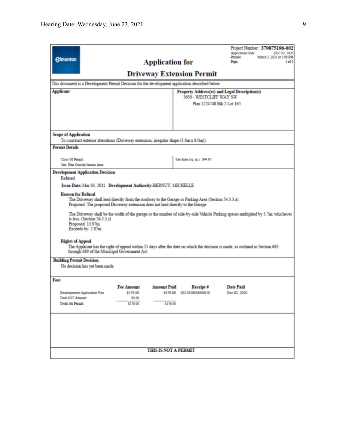| <b>Edmonton</b><br>This document is a Development Permit Decision for the development application described below.<br><b>Applicant</b>                                                                                                                                                                                                                                                                                                                                                                                                                                                                                                                                                                                                                                                                                                         |                                                     | <b>Application for</b>         | <b>Driveway Extension Permit</b><br>3650 - WESTCLIFF WAY SW | Project Number: 379875196-002<br>Application Date:<br>DEC 02, 2020<br>March 3, 2021 at 3:08 PM<br>Printed:<br>$1$ of $1$<br>Page:<br>Property Address(es) and Legal Description(s)<br>Plan 1224748 Blk 2 Lot 165 |  |  |
|------------------------------------------------------------------------------------------------------------------------------------------------------------------------------------------------------------------------------------------------------------------------------------------------------------------------------------------------------------------------------------------------------------------------------------------------------------------------------------------------------------------------------------------------------------------------------------------------------------------------------------------------------------------------------------------------------------------------------------------------------------------------------------------------------------------------------------------------|-----------------------------------------------------|--------------------------------|-------------------------------------------------------------|------------------------------------------------------------------------------------------------------------------------------------------------------------------------------------------------------------------|--|--|
| <b>Scope of Application</b><br>To construct exterior alterations (Driveway extension, irregular shape (3.6m x 8.0m)).                                                                                                                                                                                                                                                                                                                                                                                                                                                                                                                                                                                                                                                                                                                          |                                                     |                                |                                                             |                                                                                                                                                                                                                  |  |  |
| <b>Permit Details</b>                                                                                                                                                                                                                                                                                                                                                                                                                                                                                                                                                                                                                                                                                                                                                                                                                          |                                                     |                                |                                                             |                                                                                                                                                                                                                  |  |  |
| <b>Class Of Permit</b><br>Stat. Plan Overlay/Annes Area:                                                                                                                                                                                                                                                                                                                                                                                                                                                                                                                                                                                                                                                                                                                                                                                       |                                                     |                                | Site Area (1q. m.): \$44.95                                 |                                                                                                                                                                                                                  |  |  |
| <b>Development Application Decision</b><br>Refused<br>Issue Date: Mar 03, 2021 Development Authority: BERNUY, MICHELLE<br><b>Reason for Refusal</b><br>The Driveway shall lead directly from the roadway to the Garage or Parking Area (Section 54.3.3.a).<br>Proposed: The proposed Driveway extension does not lead directly to the Garage.<br>The Driveway shall be the width of the garage or the number of side-by-side Vehicle Parking spaces multiplied by 3.7m; whichever<br>is less. (Section $54.3.3.c$ )<br>Proposed: 13.97m<br>Exceeds by: 2.87m.<br><b>Rights of Appeal</b><br>The Applicant has the right of appeal within 21 days after the date on which the decision is made, as outlined in Section 683<br>through 689 of the Municipal Government Act.<br><b>Building Permit Decision</b><br>No decision has yet been made. |                                                     |                                |                                                             |                                                                                                                                                                                                                  |  |  |
| Fees<br><b>Development Application Fee</b><br><b>Total GST Amount:</b><br>Totals for Permit:                                                                                                                                                                                                                                                                                                                                                                                                                                                                                                                                                                                                                                                                                                                                                   | <b>Fee Amount</b><br>\$176.00<br>\$0.00<br>\$176.00 | <b>Amount Paid</b><br>\$176.00 | Receipt #<br>\$176.00 03215205386/0010                      | <b>Date Paid</b><br>Dec 02, 2020                                                                                                                                                                                 |  |  |
| <b>THIS IS NOT A PERMIT</b>                                                                                                                                                                                                                                                                                                                                                                                                                                                                                                                                                                                                                                                                                                                                                                                                                    |                                                     |                                |                                                             |                                                                                                                                                                                                                  |  |  |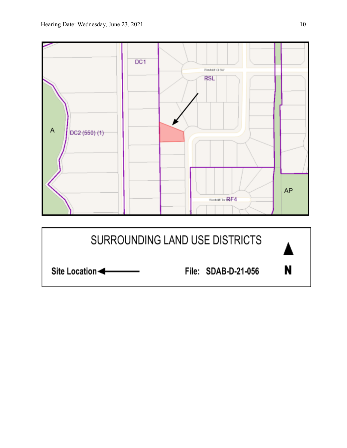

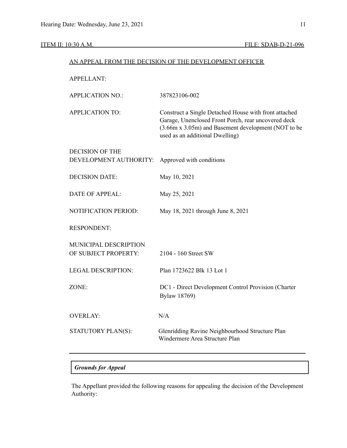|                                               | AN APPEAL FROM THE DECISION OF THE DEVELOPMENT OFFICER                                                                                                                                                 |
|-----------------------------------------------|--------------------------------------------------------------------------------------------------------------------------------------------------------------------------------------------------------|
| <b>APPELLANT:</b>                             |                                                                                                                                                                                                        |
| <b>APPLICATION NO.:</b>                       | 387823106-002                                                                                                                                                                                          |
| <b>APPLICATION TO:</b>                        | Construct a Single Detached House with front attached<br>Garage, Unenclosed Front Porch, rear uncovered deck<br>(3.66m x 3.05m) and Basement development (NOT to be<br>used as an additional Dwelling) |
| <b>DECISION OF THE</b>                        |                                                                                                                                                                                                        |
| DEVELOPMENT AUTHORITY:                        | Approved with conditions                                                                                                                                                                               |
| <b>DECISION DATE:</b>                         | May 10, 2021                                                                                                                                                                                           |
| <b>DATE OF APPEAL:</b>                        | May 25, 2021                                                                                                                                                                                           |
| <b>NOTIFICATION PERIOD:</b>                   | May 18, 2021 through June 8, 2021                                                                                                                                                                      |
| <b>RESPONDENT:</b>                            |                                                                                                                                                                                                        |
| MUNICIPAL DESCRIPTION<br>OF SUBJECT PROPERTY: | 2104 - 160 Street SW                                                                                                                                                                                   |
| <b>LEGAL DESCRIPTION:</b>                     | Plan 1723622 Blk 13 Lot 1                                                                                                                                                                              |
| ZONE:                                         | DC1 - Direct Development Control Provision (Charter<br><b>Bylaw 18769)</b>                                                                                                                             |
| <b>OVERLAY:</b>                               | N/A                                                                                                                                                                                                    |
| STATUTORY PLAN(S):                            | Glenridding Ravine Neighbourhood Structure Plan<br>Windermere Area Structure Plan                                                                                                                      |

## *Grounds for Appeal*

The Appellant provided the following reasons for appealing the decision of the Development Authority: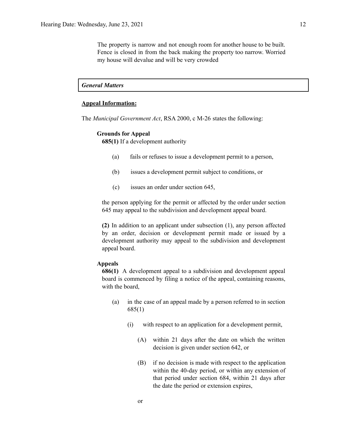The property is narrow and not enough room for another house to be built. Fence is closed in from the back making the property too narrow. Worried my house will devalue and will be very crowded

## *General Matters*

## **Appeal Information:**

The *Municipal Government Act*, RSA 2000, c M-26 states the following:

## **Grounds for Appeal**

**685(1)** If a development authority

- (a) fails or refuses to issue a development permit to a person,
- (b) issues a development permit subject to conditions, or
- (c) issues an order under section 645,

the person applying for the permit or affected by the order under section 645 may appeal to the subdivision and development appeal board.

**(2)** In addition to an applicant under subsection (1), any person affected by an order, decision or development permit made or issued by a development authority may appeal to the subdivision and development appeal board.

## **Appeals**

**686(1)** A development appeal to a subdivision and development appeal board is commenced by filing a notice of the appeal, containing reasons, with the board,

- (a) in the case of an appeal made by a person referred to in section 685(1)
	- (i) with respect to an application for a development permit,
		- (A) within 21 days after the date on which the written decision is given under section 642, or
		- (B) if no decision is made with respect to the application within the 40-day period, or within any extension of that period under section 684, within 21 days after the date the period or extension expires,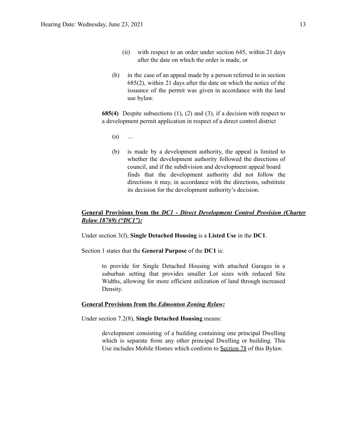- (ii) with respect to an order under section 645, within 21 days after the date on which the order is made, or
- (b) in the case of an appeal made by a person referred to in section 685(2), within 21 days after the date on which the notice of the issuance of the permit was given in accordance with the land use bylaw.

**685(4)** Despite subsections (1), (2) and (3), if a decision with respect to a development permit application in respect of a direct control district

- (a) …
- (b) is made by a development authority, the appeal is limited to whether the development authority followed the directions of council, and if the subdivision and development appeal board finds that the development authority did not follow the directions it may, in accordance with the directions, substitute its decision for the development authority's decision.

## **General Provisions from the** *DC1 - Direct Development Control Provision (Charter Bylaw 18769) ("DC1"):*

Under section 3(f), **Single Detached Housing** is a **Listed Use** in the **DC1**.

Section 1 states that the **General Purpose** of the **DC1** is:

to provide for Single Detached Housing with attached Garages in a suburban setting that provides smaller Lot sizes with reduced Site Widths, allowing for more efficient utilization of land through increased Density.

## **General Provisions from the** *Edmonton Zoning Bylaw:*

Under section 7.2(8), **Single Detached Housing** means:

development consisting of a building containing one principal Dwelling which is separate from any other principal Dwelling or building. This Use includes Mobile Homes which conform to Section 78 of this Bylaw.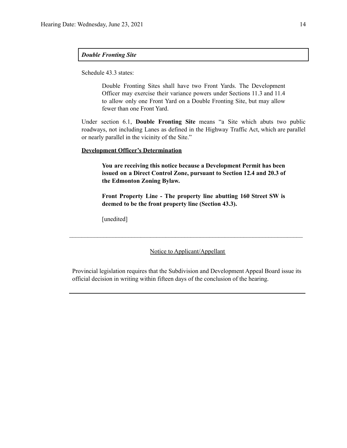## *Double Fronting Site*

Schedule 43.3 states:

Double Fronting Sites shall have two Front Yards. The Development Officer may exercise their variance powers under Sections 11.3 and 11.4 to allow only one Front Yard on a Double Fronting Site, but may allow fewer than one Front Yard.

Under section 6.1, **Double Fronting Site** means "a Site which abuts two public roadways, not including Lanes as defined in the Highway Traffic Act, which are parallel or nearly parallel in the vicinity of the Site."

## **Development Officer's Determination**

**You are receiving this notice because a Development Permit has been issued on a Direct Control Zone, pursuant to Section 12.4 and 20.3 of the Edmonton Zoning Bylaw.**

**Front Property Line - The property line abutting 160 Street SW is deemed to be the front property line (Section 43.3).**

[unedited]

Notice to Applicant/Appellant

 $\mathcal{L}_\text{max} = \frac{1}{2} \sum_{i=1}^n \mathcal{L}_\text{max} = \frac{1}{2} \sum_{i=1}^n \mathcal{L}_\text{max} = \frac{1}{2} \sum_{i=1}^n \mathcal{L}_\text{max} = \frac{1}{2} \sum_{i=1}^n \mathcal{L}_\text{max} = \frac{1}{2} \sum_{i=1}^n \mathcal{L}_\text{max} = \frac{1}{2} \sum_{i=1}^n \mathcal{L}_\text{max} = \frac{1}{2} \sum_{i=1}^n \mathcal{L}_\text{max} = \frac{1}{2} \sum_{i=$ 

Provincial legislation requires that the Subdivision and Development Appeal Board issue its official decision in writing within fifteen days of the conclusion of the hearing.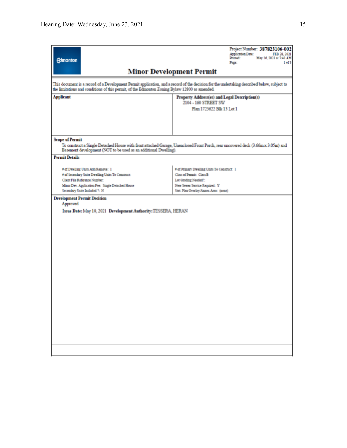| <b>Edmonton</b>                                                                                                                                                                                               | Project Number: 387823106-002<br><b>Application Date:</b><br>FEB 28, 2021<br>Printed:<br>May 26, 2021 at 7:40 AM<br>Page:<br>1 of 3                                       |
|---------------------------------------------------------------------------------------------------------------------------------------------------------------------------------------------------------------|---------------------------------------------------------------------------------------------------------------------------------------------------------------------------|
|                                                                                                                                                                                                               | <b>Minor Development Permit</b>                                                                                                                                           |
| the limitations and conditions of this permit, of the Edmonton Zoning Bylaw 12800 as amended.                                                                                                                 | This document is a record of a Development Permit application, and a record of the decision for the undertaking described below, subject to                               |
| <b>Applicant</b>                                                                                                                                                                                              | Property Address(es) and Legal Description(s)<br>2104 - 160 STREET SW<br>Plan 1723622 Blk 13 Lot 1                                                                        |
|                                                                                                                                                                                                               |                                                                                                                                                                           |
| <b>Scope of Permit</b><br>Basement development (NOT to be used as an additional Dwelling).                                                                                                                    | To construct a Single Detached House with front attached Garage, Unenclosed Front Porch, rear uncovered deck (3.66m x 3.05m) and                                          |
| <b>Permit Details</b>                                                                                                                                                                                         |                                                                                                                                                                           |
| # of Dwelling Units Add/Remove: 1<br># of Secondary Suite Dwelling Units To Construct:<br>Client File Reference Number:<br>Minor Dev. Application Fee: Single Detached House<br>Secondary Suite Included ?: N | # of Primary Dwelling Units To Construct: 1<br>Class of Permit: Class B<br>Lot Grading Needed?:<br>New Sewer Service Required: Y<br>Stat. Plan Overlay/Annex Area: (none) |
| <b>Development Permit Decision</b><br>Approved<br>Issue Date: May 10, 2021 Development Authority: TESSERA, HERAN                                                                                              |                                                                                                                                                                           |
|                                                                                                                                                                                                               |                                                                                                                                                                           |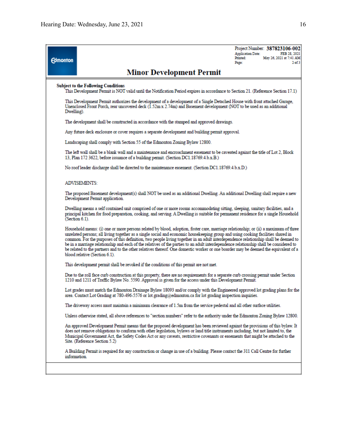Project Number: 387823106-002 FEB 28, 2021 **Application Date:** May 26, 2021 at 7:41 AM Printed: **Edmonton** Page:  $2$  of  $3$ **Minor Development Permit Subject to the Following Conditions** This Development Permit is NOT valid until the Notification Period expires in accordance to Section 21. (Reference Section 17.1) This Development Permit authorizes the development of a development of a Single Detached House with front attached Garage, Unenclosed Front Porch, rear uncovered deck (1.52m x 2.74m) and Basement development (NOT to be used as an additional Dwelling). The development shall be constructed in accordance with the stamped and approved drawings. Any future deck enclosure or cover requires a separate development and building permit approval. Landscaping shall comply with Section 55 of the Edmonton Zoning Bylaw 12800. The left wall shall be a blank wall and a maintenance and encroachment easement to be caveated against the title of Lot 2, Block 13, Plan 172 3622, before issuance of a building permit. (Section DC1.18769.4.b.x.B.) No roof leader discharge shall be directed to the maintenance easement. (Section DC1.18769.4.b.x.D.) **ADMISEMENTS:** The proposed Basement development(s) shall NOT be used as an additional Dwelling. An additional Dwelling shall require a new Development Permit application. Dwelling means a self contained unit comprised of one or more rooms accommodating sitting, sleeping, sanitary facilities, and a principal kitchen for food preparation, cooking, and serving. A Dwelling is suitable for permanent residence for a single Household (Section 6.1). Household means: (i) one or more persons related by blood, adoption, foster care, marriage relationship; or (ii) a maximum of three unrelated persons; all living together as a single social and economic housekeeping group and using cooking facilities shared in common. For the purposes of this definition, two people living together in an adult interdependence relationship shall be deemed to be in a marriage relationship and each of the relatives of the parties to an adult interdependence relationship shall be considered to be related to the partners and to the other relatives thereof. One domestic worker or one boarder may be deemed the equivalent of a blood relative (Section 6.1). This development permit shall be revoked if the conditions of this permit are not met. Due to the roll face curb construction at this property, there are no requirements for a separate curb crossing permit under Section 1210 and 1211 of Traffic Bylaw No. 5590. Approval is given for the access under this Development Permit. Lot grades must match the Edmonton Drainage Bylaw 18093 and/or comply with the Engineered approved lot grading plans for the area. Contact Lot Grading at 780-496-5576 or lot.grading@edmonton.ca for lot grading inspection inquiries. The driveway access must maintain a minimum clearance of 1.5m from the service pedestal and all other surface utilities. Unless otherwise stated, all above references to "section numbers" refer to the authority under the Edmonton Zoning Bylaw 12800. An approved Development Permit means that the proposed development has been reviewed against the provisions of this bylaw. It does not remove obligations to conform with other legislation, bylaws or land title instruments including, but not limited to, the Municipal Government Act, the Safety Codes Act or any caveats, restrictive covenants or easements that might be attached to the Site. (Reference Section 5.2)

A Building Permit is required for any construction or change in use of a building. Please contact the 311 Call Centre for further information.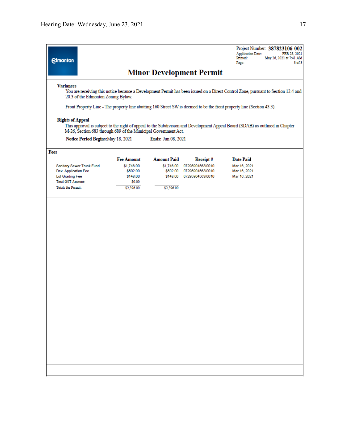Project Number: 387823106-002 Application Date: FEB 28, 2021<br>Printed: May 26, 2021 at 7:41 AM Page:  $3$  of  $3$ 

## **Minor Development Permit**

#### **Variances**

**Edmonton** 

You are receiving this notice because a Development Permit has been issued on a Direct Control Zone, pursuant to Section 12.4 and 20.3 of the Edmonton Zoning Bylaw.

Front Property Line - The property line abutting 160 Street SW is deemed to be the front property line (Section 43.3).

### **Rights of Appeal**

This approval is subject to the right of appeal to the Subdivision and Development Appeal Board (SDAB) as outlined in Chapter M-26, Section 683 through 689 of the Municipal Government Act.

Notice Period Begins: May 18, 2021 Ends: Jun 08, 2021

## Fees

|                           | <b>Fee Amount</b> | <b>Amount Paid</b> | Receipt#         | <b>Date Paid</b> |  |
|---------------------------|-------------------|--------------------|------------------|------------------|--|
| Sanitary Sewer Trunk Fund | \$1,746.00        | \$1,746.00         | 0729590456310010 | Mar 16, 2021     |  |
| Dev. Application Fee      | \$502.00          | \$502.00           | 0729590456310010 | Mar 16, 2021     |  |
| Lot Grading Fee           | \$148.00          | \$148.00           | 0729590456310010 | Mar 16, 2021     |  |
| <b>Total GST Amount:</b>  | \$0.00            |                    |                  |                  |  |
| <b>Totals for Permit:</b> | \$2,396.00        | \$2,396.00         |                  |                  |  |